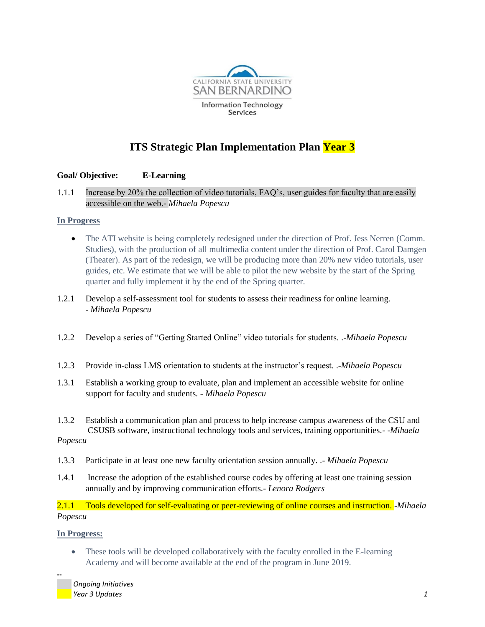

# **ITS Strategic Plan Implementation Plan Year 3**

## **Goal/ Objective: E-Learning**

1.1.1 Increase by 20% the collection of video tutorials, FAQ's, user guides for faculty that are easily accessible on the web.- *Mihaela Popescu*

## **In Progress**

- The ATI website is being completely redesigned under the direction of Prof. Jess Nerren (Comm. Studies), with the production of all multimedia content under the direction of Prof. Carol Damgen (Theater). As part of the redesign, we will be producing more than 20% new video tutorials, user guides, etc. We estimate that we will be able to pilot the new website by the start of the Spring quarter and fully implement it by the end of the Spring quarter.
- 1.2.1 Develop a self-assessment tool for students to assess their readiness for online learning. - *Mihaela Popescu*
- 1.2.2 Develop a series of "Getting Started Online" video tutorials for students. .-*Mihaela Popescu*
- 1.2.3 Provide in-class LMS orientation to students at the instructor's request. .-*Mihaela Popescu*
- 1.3.1 Establish a working group to evaluate, plan and implement an accessible website for online support for faculty and students*. - Mihaela Popescu*
- 1.3.2 Establish a communication plan and process to help increase campus awareness of the CSU and CSUSB software, instructional technology tools and services, training opportunities*.-* -*Mihaela Popescu*
- 1.3.3 Participate in at least one new faculty orientation session annually. .- *Mihaela Popescu*
- 1.4.1 Increase the adoption of the established course codes by offering at least one training session annually and by improving communication efforts.- *Lenora Rodgers*

2.1.1 Tools developed for self-evaluating or peer-reviewing of online courses and instruction. -*Mihaela Popescu*

### **In Progress:**

**--**

• These tools will be developed collaboratively with the faculty enrolled in the E-learning Academy and will become available at the end of the program in June 2019.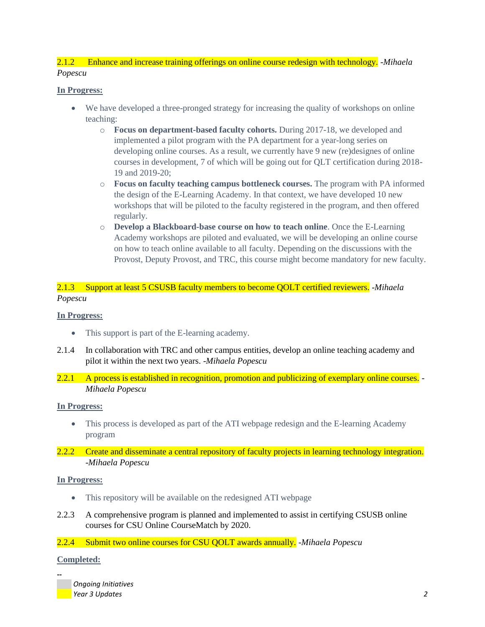## 2.1.2 Enhance and increase training offerings on online course redesign with technology. -*Mihaela Popescu*

## **In Progress:**

- We have developed a three-pronged strategy for increasing the quality of workshops on online teaching:
	- o **Focus on department-based faculty cohorts.** During 2017-18, we developed and implemented a pilot program with the PA department for a year-long series on developing online courses. As a result, we currently have 9 new (re)designes of online courses in development, 7 of which will be going out for QLT certification during 2018- 19 and 2019-20;
	- o **Focus on faculty teaching campus bottleneck courses.** The program with PA informed the design of the E-Learning Academy. In that context, we have developed 10 new workshops that will be piloted to the faculty registered in the program, and then offered regularly.
	- o **Develop a Blackboard-base course on how to teach online**. Once the E-Learning Academy workshops are piloted and evaluated, we will be developing an online course on how to teach online available to all faculty. Depending on the discussions with the Provost, Deputy Provost, and TRC, this course might become mandatory for new faculty.

2.1.3 Support at least 5 CSUSB faculty members to become QOLT certified reviewers. -*Mihaela Popescu*

### **In Progress:**

- This support is part of the E-learning academy.
- 2.1.4 In collaboration with TRC and other campus entities, develop an online teaching academy and pilot it within the next two years. -*Mihaela Popescu*
- 2.2.1 A process is established in recognition, promotion and publicizing of exemplary online courses. *Mihaela Popescu*

### **In Progress:**

- This process is developed as part of the ATI webpage redesign and the E-learning Academy program
- 2.2.2 Create and disseminate a central repository of faculty projects in learning technology integration. -*Mihaela Popescu*

### **In Progress:**

- This repository will be available on the redesigned ATI webpage
- 2.2.3 A comprehensive program is planned and implemented to assist in certifying CSUSB online courses for CSU Online CourseMatch by 2020.
- 2.2.4 Submit two online courses for CSU QOLT awards annually. -*Mihaela Popescu*

### **Completed:**

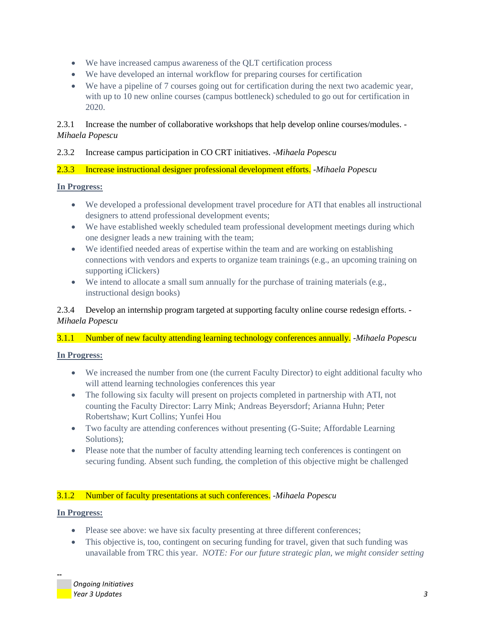- We have increased campus awareness of the QLT certification process
- We have developed an internal workflow for preparing courses for certification
- We have a pipeline of 7 courses going out for certification during the next two academic year, with up to 10 new online courses (campus bottleneck) scheduled to go out for certification in 2020.

## 2.3.1 Increase the number of collaborative workshops that help develop online courses/modules. - *Mihaela Popescu*

## 2.3.2 Increase campus participation in CO CRT initiatives. -*Mihaela Popescu*

## 2.3.3 Increase instructional designer professional development efforts. -*Mihaela Popescu*

## **In Progress:**

- We developed a professional development travel procedure for ATI that enables all instructional designers to attend professional development events;
- We have established weekly scheduled team professional development meetings during which one designer leads a new training with the team;
- We identified needed areas of expertise within the team and are working on establishing connections with vendors and experts to organize team trainings (e.g., an upcoming training on supporting iClickers)
- We intend to allocate a small sum annually for the purchase of training materials (e.g., instructional design books)

2.3.4 Develop an internship program targeted at supporting faculty online course redesign efforts. - *Mihaela Popescu*

## 3.1.1 Number of new faculty attending learning technology conferences annually. -*Mihaela Popescu*

## **In Progress:**

- We increased the number from one (the current Faculty Director) to eight additional faculty who will attend learning technologies conferences this year
- The following six faculty will present on projects completed in partnership with ATI, not counting the Faculty Director: Larry Mink; Andreas Beyersdorf; Arianna Huhn; Peter Robertshaw; Kurt Collins; Yunfei Hou
- Two faculty are attending conferences without presenting (G-Suite; Affordable Learning Solutions):
- Please note that the number of faculty attending learning tech conferences is contingent on securing funding. Absent such funding, the completion of this objective might be challenged

## 3.1.2 Number of faculty presentations at such conferences. -*Mihaela Popescu*

## **In Progress:**

- Please see above: we have six faculty presenting at three different conferences;
- This objective is, too, contingent on securing funding for travel, given that such funding was unavailable from TRC this year. *NOTE: For our future strategic plan, we might consider setting*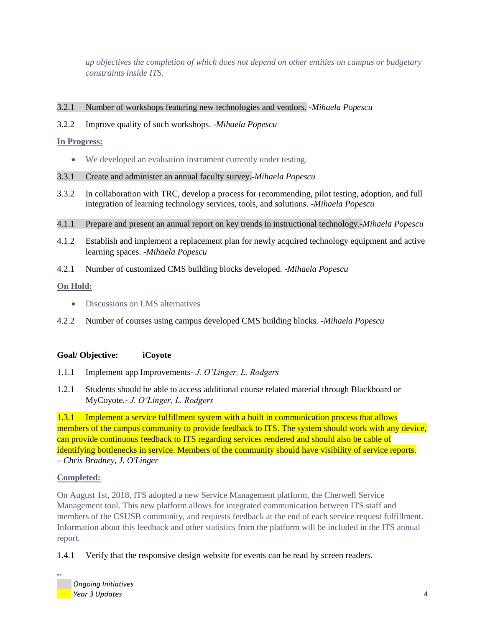*up objectives the completion of which does not depend on other entities on campus or budgetary constraints inside ITS.* 

- 3.2.1 Number of workshops featuring new technologies and vendors. -*Mihaela Popescu*
- 3.2.2 Improve quality of such workshops. -*Mihaela Popescu*

**In Progress:**

- We developed an evaluation instrument currently under testing.
- 3.3.1 Create and administer an annual faculty survey.-*Mihaela Popescu*
- 3.3.2 In collaboration with TRC, develop a process for recommending, pilot testing, adoption, and full integration of learning technology services, tools, and solutions. -*Mihaela Popescu*
- 4.1.1 Prepare and present an annual report on key trends in instructional technology.-*Mihaela Popescu*
- 4.1.2 Establish and implement a replacement plan for newly acquired technology equipment and active learning spaces. -*Mihaela Popescu*
- 4.2.1 Number of customized CMS building blocks developed*.* -*Mihaela Popescu*

## **On Hold:**

- Discussions on LMS alternatives
- 4.2.2 Number of courses using campus developed CMS building blocks*.* -*Mihaela Popescu*

## **Goal/ Objective: iCoyote**

- 1.1.1 Implement app Improvements*- J. O'Linger, L. Rodgers*
- 1.2.1 Students should be able to access additional course related material through Blackboard or MyCoyote.- *J. O'Linger, L. Rodgers*

1.3.1 Implement a service fulfillment system with a built in communication process that allows members of the campus community to provide feedback to ITS. The system should work with any device, can provide continuous feedback to ITS regarding services rendered and should also be cable of identifying bottlenecks in service. Members of the community should have visibility of service reports. – *Chris Bradney, J. O'Linger*

## **Completed:**

**--**

On August 1st, 2018, ITS adopted a new Service Management platform, the Cherwell Service Management tool. This new platform allows for integrated communication between ITS staff and members of the CSUSB community, and requests feedback at the end of each service request fulfillment. Information about this feedback and other statistics from the platform will be included in the ITS annual report.

1.4.1 Verify that the responsive design website for events can be read by screen readers.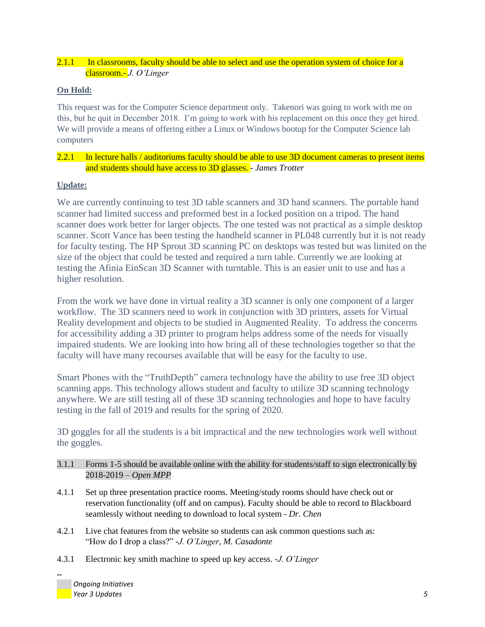## 2.1.1 In classrooms, faculty should be able to select and use the operation system of choice for a classroom.- *J. O'Linger*

## **On Hold:**

This request was for the Computer Science department only. Takenori was going to work with me on this, but he quit in December 2018. I'm going to work with his replacement on this once they get hired. We will provide a means of offering either a Linux or Windows bootup for the Computer Science lab computers

## 2.2.1 In lecture halls / auditoriums faculty should be able to use 3D document cameras to present items and students should have access to 3D glasses. - *James Trotter*

## **Update:**

We are currently continuing to test 3D table scanners and 3D hand scanners. The portable hand scanner had limited success and preformed best in a locked position on a tripod. The hand scanner does work better for larger objects. The one tested was not practical as a simple desktop scanner. Scott Vance has been testing the handheld scanner in PL048 currently but it is not ready for faculty testing. The HP Sprout 3D scanning PC on desktops was tested but was limited on the size of the object that could be tested and required a turn table. Currently we are looking at testing the Afinia EinScan 3D Scanner with turntable. This is an easier unit to use and has a higher resolution.

From the work we have done in virtual reality a 3D scanner is only one component of a larger workflow. The 3D scanners need to work in conjunction with 3D printers, assets for Virtual Reality development and objects to be studied in Augmented Reality. To address the concerns for accessibility adding a 3D printer to program helps address some of the needs for visually impaired students. We are looking into how bring all of these technologies together so that the faculty will have many recourses available that will be easy for the faculty to use.

Smart Phones with the "TruthDepth" camera technology have the ability to use free 3D object scanning apps. This technology allows student and faculty to utilize 3D scanning technology anywhere. We are still testing all of these 3D scanning technologies and hope to have faculty testing in the fall of 2019 and results for the spring of 2020.

3D goggles for all the students is a bit impractical and the new technologies work well without the goggles.

## 3.1.1 Forms 1-5 should be available online with the ability for students/staff to sign electronically by 2018-2019 – *Open MPP*

- 4.1.1 Set up three presentation practice rooms. Meeting/study rooms should have check out or reservation functionality (off and on campus). Faculty should be able to record to Blackboard seamlessly without needing to download to local system - *Dr. Chen*
- 4.2.1 Live chat features from the website so students can ask common questions such as: "How do I drop a class?" -*J. O'Linger, M. Casadonte*
- 4.3.1 Electronic key smith machine to speed up key access. -*J. O'Linger*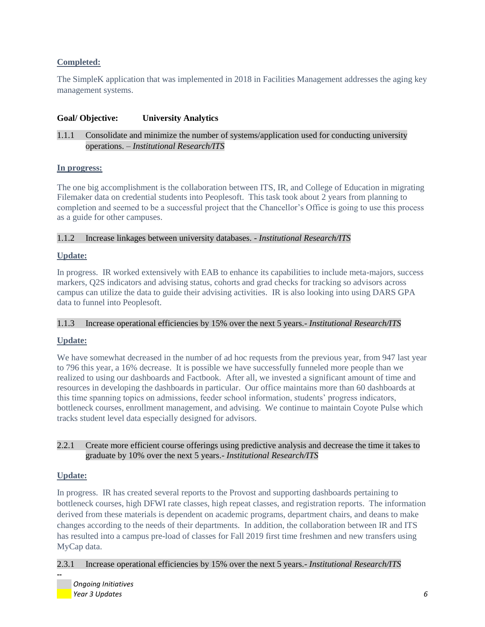## **Completed:**

The SimpleK application that was implemented in 2018 in Facilities Management addresses the aging key management systems.

## **Goal/ Objective: University Analytics**

## 1.1.1 Consolidate and minimize the number of systems/application used for conducting university operations. – *Institutional Research/ITS*

### **In progress:**

The one big accomplishment is the collaboration between ITS, IR, and College of Education in migrating Filemaker data on credential students into Peoplesoft. This task took about 2 years from planning to completion and seemed to be a successful project that the Chancellor's Office is going to use this process as a guide for other campuses.

### 1.1.2 Increase linkages between university databases. - *Institutional Research/ITS*

### **Update:**

In progress. IR worked extensively with EAB to enhance its capabilities to include meta-majors, success markers, Q2S indicators and advising status, cohorts and grad checks for tracking so advisors across campus can utilize the data to guide their advising activities. IR is also looking into using DARS GPA data to funnel into Peoplesoft.

#### 1.1.3 Increase operational efficiencies by 15% over the next 5 years.- *Institutional Research/ITS*

### **Update:**

We have somewhat decreased in the number of ad hoc requests from the previous year, from 947 last year to 796 this year, a 16% decrease. It is possible we have successfully funneled more people than we realized to using our dashboards and Factbook. After all, we invested a significant amount of time and resources in developing the dashboards in particular. Our office maintains more than 60 dashboards at this time spanning topics on admissions, feeder school information, students' progress indicators, bottleneck courses, enrollment management, and advising. We continue to maintain Coyote Pulse which tracks student level data especially designed for advisors.

### 2.2.1 Create more efficient course offerings using predictive analysis and decrease the time it takes to graduate by 10% over the next 5 years.- *Institutional Research/ITS*

### **Update:**

**--**

In progress. IR has created several reports to the Provost and supporting dashboards pertaining to bottleneck courses, high DFWI rate classes, high repeat classes, and registration reports. The information derived from these materials is dependent on academic programs, department chairs, and deans to make changes according to the needs of their departments. In addition, the collaboration between IR and ITS has resulted into a campus pre-load of classes for Fall 2019 first time freshmen and new transfers using MyCap data.

### 2.3.1 Increase operational efficiencies by 15% over the next 5 years.- *Institutional Research/ITS*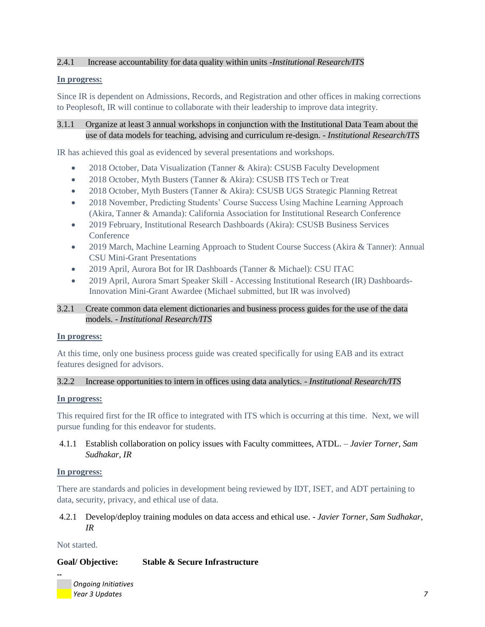## 2.4.1 Increase accountability for data quality within units -*Institutional Research/ITS*

### **In progress:**

Since IR is dependent on Admissions, Records, and Registration and other offices in making corrections to Peoplesoft, IR will continue to collaborate with their leadership to improve data integrity.

3.1.1 Organize at least 3 annual workshops in conjunction with the Institutional Data Team about the use of data models for teaching, advising and curriculum re-design. - *Institutional Research/ITS*

IR has achieved this goal as evidenced by several presentations and workshops.

- 2018 October, Data Visualization (Tanner & Akira): CSUSB Faculty Development
- 2018 October, Myth Busters (Tanner & Akira): CSUSB ITS Tech or Treat
- 2018 October, Myth Busters (Tanner & Akira): CSUSB UGS Strategic Planning Retreat
- 2018 November, Predicting Students' Course Success Using Machine Learning Approach (Akira, Tanner & Amanda): California Association for Institutional Research Conference
- 2019 February, Institutional Research Dashboards (Akira): CSUSB Business Services **Conference**
- 2019 March, Machine Learning Approach to Student Course Success (Akira & Tanner): Annual CSU Mini-Grant Presentations
- 2019 April, Aurora Bot for IR Dashboards (Tanner & Michael): CSU ITAC
- 2019 April, Aurora Smart Speaker Skill Accessing Institutional Research (IR) Dashboards-Innovation Mini-Grant Awardee (Michael submitted, but IR was involved)

## 3.2.1 Create common data element dictionaries and business process guides for the use of the data models. - *Institutional Research/ITS*

### **In progress:**

At this time, only one business process guide was created specifically for using EAB and its extract features designed for advisors.

## 3.2.2 Increase opportunities to intern in offices using data analytics. - *Institutional Research/ITS*

### **In progress:**

This required first for the IR office to integrated with ITS which is occurring at this time. Next, we will pursue funding for this endeavor for students.

4.1.1 Establish collaboration on policy issues with Faculty committees, ATDL. *– Javier Torner, Sam Sudhakar, IR*

### **In progress:**

There are standards and policies in development being reviewed by IDT, ISET, and ADT pertaining to data, security, privacy, and ethical use of data.

## 4.2.1 Develop/deploy training modules on data access and ethical use. - *Javier Torner, Sam Sudhakar, IR*

Not started.

**--**

## **Goal/ Objective: Stable & Secure Infrastructure**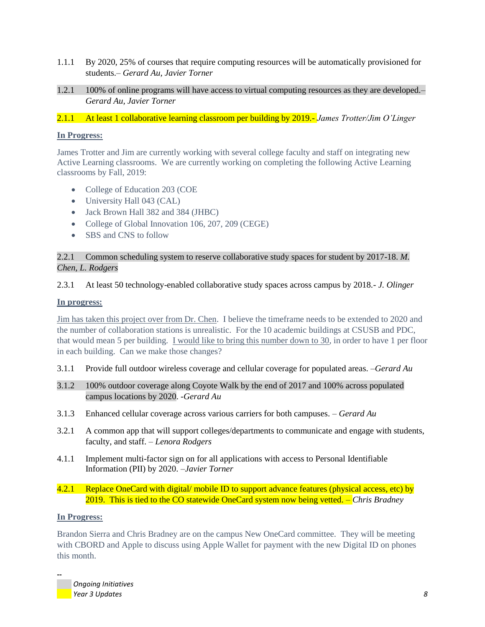- 1.1.1 By 2020, 25% of courses that require computing resources will be automatically provisioned for students.– *Gerard Au, Javier Torner*
- 1.2.1 100% of online programs will have access to virtual computing resources as they are developed.– *Gerard Au, Javier Torner*
- 2.1.1 At least 1 collaborative learning classroom per building by 2019*.- James Trotter/Jim O'Linger*

## **In Progress:**

James Trotter and Jim are currently working with several college faculty and staff on integrating new Active Learning classrooms. We are currently working on completing the following Active Learning classrooms by Fall, 2019:

- College of Education 203 (COE
- University Hall 043 (CAL)
- Jack Brown Hall 382 and 384 (JHBC)
- College of Global Innovation 106, 207, 209 (CEGE)
- SBS and CNS to follow

# 2.2.1 Common scheduling system to reserve collaborative study spaces for student by 2017-18. *M. Chen, L. Rodgers*

## 2.3.1 At least 50 technology-enabled collaborative study spaces across campus by 2018*.- J. Olinger*

## **In progress:**

Jim has taken this project over from Dr. Chen. I believe the timeframe needs to be extended to 2020 and the number of collaboration stations is unrealistic. For the 10 academic buildings at CSUSB and PDC, that would mean 5 per building. I would like to bring this number down to 30, in order to have 1 per floor in each building. Can we make those changes?

- 3.1.1 Provide full outdoor wireless coverage and cellular coverage for populated areas. *–Gerard Au*
- 3.1.2 100% outdoor coverage along Coyote Walk by the end of 2017 and 100% across populated campus locations by 2020. *-Gerard Au*
- 3.1.3 Enhanced cellular coverage across various carriers for both campuses. *– Gerard Au*
- 3.2.1 A common app that will support colleges/departments to communicate and engage with students, faculty, and staff. *– Lenora Rodgers*
- 4.1.1 Implement multi-factor sign on for all applications with access to Personal Identifiable Information (PII) by 2020. *–Javier Torner*

## 4.2.1 Replace OneCard with digital/ mobile ID to support advance features (physical access, etc) by 2019. This is tied to the CO statewide OneCard system now being vetted. *– Chris Bradney*

## **In Progress:**

**--**

Brandon Sierra and Chris Bradney are on the campus New OneCard committee. They will be meeting with CBORD and Apple to discuss using Apple Wallet for payment with the new Digital ID on phones this month.

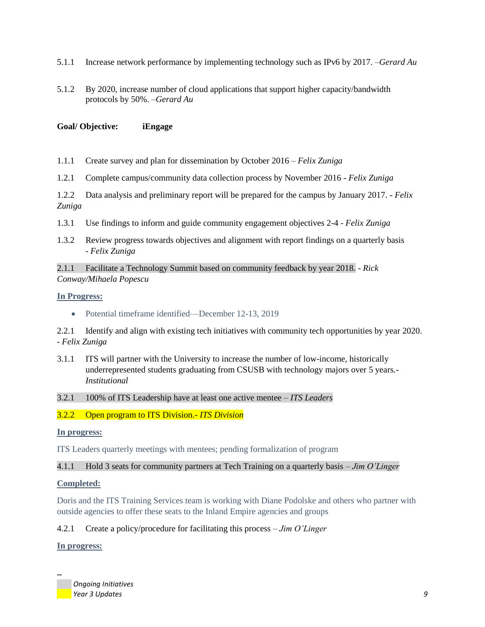- 5.1.1 Increase network performance by implementing technology such as IPv6 by 2017. *–Gerard Au*
- 5.1.2 By 2020, increase number of cloud applications that support higher capacity/bandwidth protocols by 50%. *–Gerard Au*

## **Goal/ Objective: iEngage**

- 1.1.1 Create survey and plan for dissemination by October 2016 *Felix Zuniga*
- 1.2.1 Complete campus/community data collection process by November 2016 *Felix Zuniga*

1.2.2 Data analysis and preliminary report will be prepared for the campus by January 2017. - *Felix Zuniga*

- 1.3.1 Use findings to inform and guide community engagement objectives 2-4 *Felix Zuniga*
- 1.3.2 Review progress towards objectives and alignment with report findings on a quarterly basis - *Felix Zuniga*

2.1.1 Facilitate a Technology Summit based on community feedback by year 2018. - *Rick Conway/Mihaela Popescu*

#### **In Progress:**

• Potential timeframe identified—December 12-13, 2019

2.2.1 Identify and align with existing tech initiatives with community tech opportunities by year 2020. - *Felix Zuniga*

3.1.1 ITS will partner with the University to increase the number of low-income, historically underrepresented students graduating from CSUSB with technology majors over 5 years.- *Institutional*

#### 3.2.1 100% of ITS Leadership have at least one active mentee – *ITS Leaders*

### 3.2.2 Open program to ITS Division*.- ITS Division*

#### **In progress:**

ITS Leaders quarterly meetings with mentees; pending formalization of program

### 4.1.1 Hold 3 seats for community partners at Tech Training on a quarterly basis – *Jim O'Linger*

### **Completed:**

Doris and the ITS Training Services team is working with Diane Podolske and others who partner with outside agencies to offer these seats to the Inland Empire agencies and groups

### 4.2.1 Create a policy/procedure for facilitating this process – *Jim O'Linger*

## **In progress:**